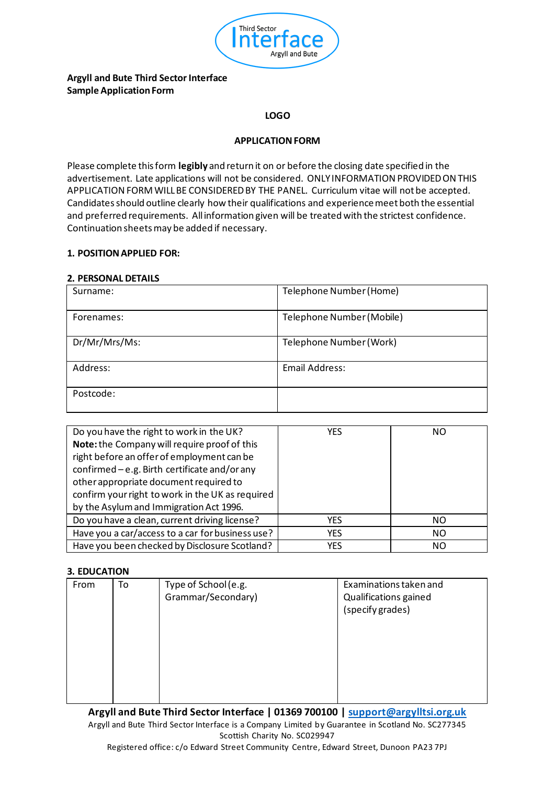

# **Argyll and Bute Third Sector Interface Sample Application Form**

#### **LOGO**

### **APPLICATION FORM**

Please complete this form **legibly** and return it on or before the closing date specified in the advertisement. Late applications will not be considered. ONLY INFORMATION PROVIDED ON THIS APPLICATION FORM WILL BE CONSIDERED BY THE PANEL. Curriculum vitae will not be accepted. Candidatesshould outline clearly how their qualifications and experience meet both the essential and preferred requirements. All information given will be treated with the strictest confidence. Continuation sheets may be added if necessary.

### **1. POSITION APPLIED FOR:**

#### **2. PERSONAL DETAILS**

| Surname:      | Telephone Number (Home)   |
|---------------|---------------------------|
| Forenames:    | Telephone Number (Mobile) |
| Dr/Mr/Mrs/Ms: | Telephone Number (Work)   |
| Address:      | Email Address:            |
| Postcode:     |                           |

| Do you have the right to work in the UK?         | YES        | NO             |
|--------------------------------------------------|------------|----------------|
| Note: the Company will require proof of this     |            |                |
| right before an offer of employment can be       |            |                |
| confirmed - e.g. Birth certificate and/or any    |            |                |
| other appropriate document required to           |            |                |
| confirm your right to work in the UK as required |            |                |
| by the Asylum and Immigration Act 1996.          |            |                |
| Do you have a clean, current driving license?    | YES        | NO.            |
| Have you a car/access to a car for business use? | <b>YES</b> | N <sub>O</sub> |
| Have you been checked by Disclosure Scotland?    | <b>YES</b> | N <sub>O</sub> |

### **3. EDUCATION**

| From | To |                                            | Examinations taken and                    |
|------|----|--------------------------------------------|-------------------------------------------|
|      |    | Type of School (e.g.<br>Grammar/Secondary) | Qualifications gained<br>(specify grades) |
|      |    |                                            |                                           |

**Argyll and Bute Third Sector Interface | 01369 700100 | support@argylltsi.org.uk** Argyll and Bute Third Sector Interface is a Company Limited by Guarantee in Scotland No. SC277345 Scottish Charity No. SC029947

Registered office: c/o Edward Street Community Centre, Edward Street, Dunoon PA23 7PJ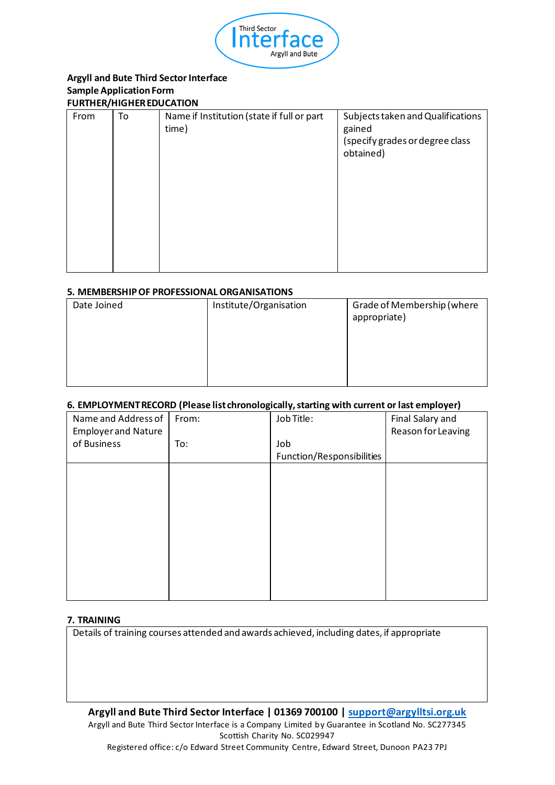

### **Argyll and Bute Third Sector Interface Sample Application Form FURTHER/HIGHER EDUCATION**

| From | To | Name if Institution (state if full or part<br>time) | Subjects taken and Qualifications<br>gained<br>(specify grades or degree class<br>obtained) |
|------|----|-----------------------------------------------------|---------------------------------------------------------------------------------------------|
|      |    |                                                     |                                                                                             |

## **5. MEMBERSHIP OF PROFESSIONAL ORGANISATIONS**

| Date Joined | Institute/Organisation | Grade of Membership (where<br>appropriate) |
|-------------|------------------------|--------------------------------------------|
|             |                        |                                            |

# **6. EMPLOYMENT RECORD (Please list chronologically, starting with current or last employer)**

| Name and Address of<br><b>Employer and Nature</b> | From: | Job Title:                | Final Salary and<br>Reason for Leaving |
|---------------------------------------------------|-------|---------------------------|----------------------------------------|
| of Business                                       | To:   | Job                       |                                        |
|                                                   |       | Function/Responsibilities |                                        |
|                                                   |       |                           |                                        |
|                                                   |       |                           |                                        |
|                                                   |       |                           |                                        |
|                                                   |       |                           |                                        |
|                                                   |       |                           |                                        |
|                                                   |       |                           |                                        |
|                                                   |       |                           |                                        |
|                                                   |       |                           |                                        |
|                                                   |       |                           |                                        |
|                                                   |       |                           |                                        |

### **7. TRAINING**

Details of training courses attended and awards achieved, including dates, if appropriate

**Argyll and Bute Third Sector Interface | 01369 700100 | support@argylltsi.org.uk** Argyll and Bute Third Sector Interface is a Company Limited by Guarantee in Scotland No. SC277345 Scottish Charity No. SC029947

Registered office: c/o Edward Street Community Centre, Edward Street, Dunoon PA23 7PJ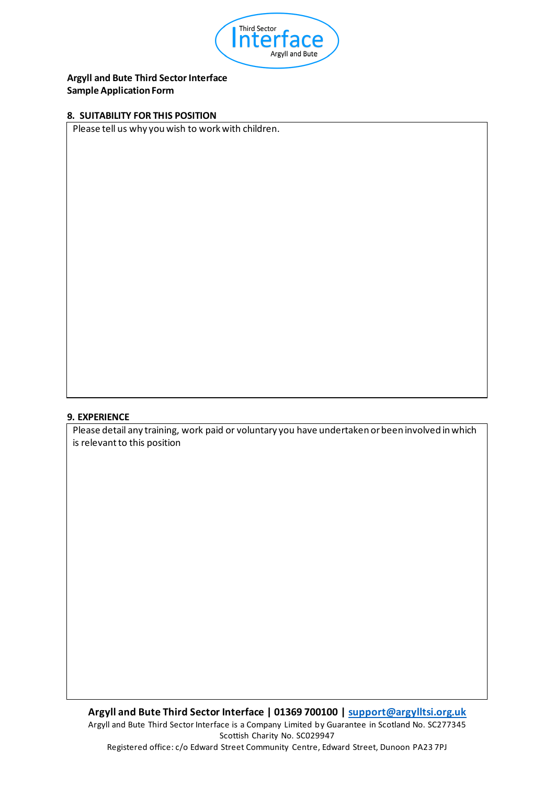

# **Argyll and Bute Third Sector Interface Sample Application Form**

#### **8. SUITABILITY FOR THIS POSITION**

Please tell us why you wish to work with children.

## **9. EXPERIENCE**

Please detail any training, work paid or voluntary you have undertaken or been involved in which is relevant to this position

**Argyll and Bute Third Sector Interface | 01369 700100 | support@argylltsi.org.uk** Argyll and Bute Third Sector Interface is a Company Limited by Guarantee in Scotland No. SC277345 Scottish Charity No. SC029947 Registered office: c/o Edward Street Community Centre, Edward Street, Dunoon PA23 7PJ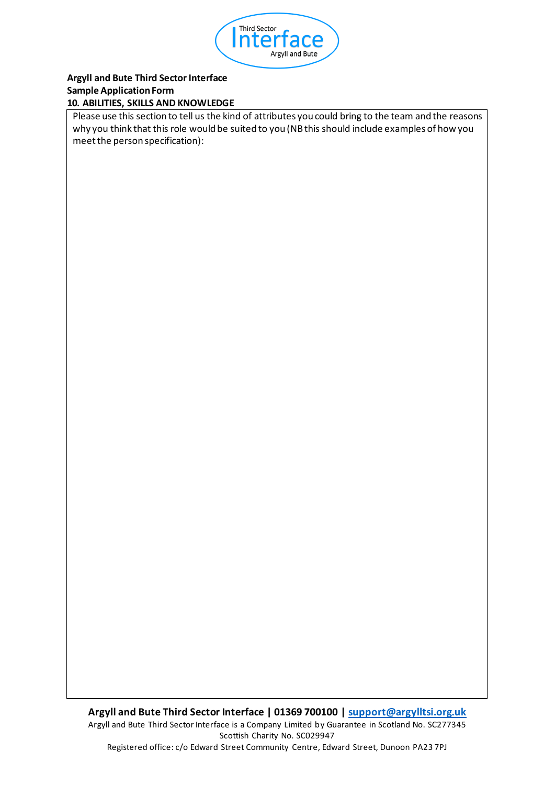

## **Argyll and Bute Third Sector Interface Sample Application Form 10. ABILITIES, SKILLS AND KNOWLEDGE**

Please use this section to tell us the kind of attributes you could bring to the team and the reasons why you think that this role would be suited to you (NB this should include examples of how you meet the person specification):